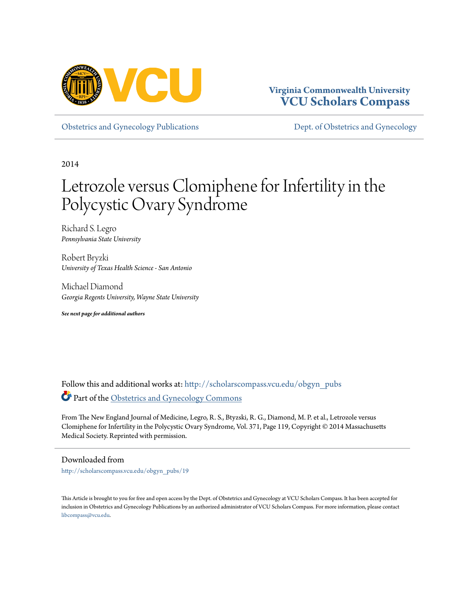

# **Virginia Commonwealth University [VCU Scholars Compass](http://scholarscompass.vcu.edu?utm_source=scholarscompass.vcu.edu%2Fobgyn_pubs%2F19&utm_medium=PDF&utm_campaign=PDFCoverPages)**

[Obstetrics and Gynecology Publications](http://scholarscompass.vcu.edu/obgyn_pubs?utm_source=scholarscompass.vcu.edu%2Fobgyn_pubs%2F19&utm_medium=PDF&utm_campaign=PDFCoverPages) [Dept. of Obstetrics and Gynecology](http://scholarscompass.vcu.edu/obgyn?utm_source=scholarscompass.vcu.edu%2Fobgyn_pubs%2F19&utm_medium=PDF&utm_campaign=PDFCoverPages)

2014

# Letrozole versus Clomiphene for Infertility in the Polycystic Ovary Syndrome

Richard S. Legro *Pennsylvania State University*

Robert Bryzki *University of Texas Health Science - San Antonio*

Michael Diamond *Georgia Regents University, Wayne State University*

*See next page for additional authors*

Follow this and additional works at: [http://scholarscompass.vcu.edu/obgyn\\_pubs](http://scholarscompass.vcu.edu/obgyn_pubs?utm_source=scholarscompass.vcu.edu%2Fobgyn_pubs%2F19&utm_medium=PDF&utm_campaign=PDFCoverPages) Part of the [Obstetrics and Gynecology Commons](http://network.bepress.com/hgg/discipline/693?utm_source=scholarscompass.vcu.edu%2Fobgyn_pubs%2F19&utm_medium=PDF&utm_campaign=PDFCoverPages)

From The New England Journal of Medicine, Legro, R. S., Btyzski, R. G., Diamond, M. P. et al., Letrozole versus Clomiphene for Infertility in the Polycystic Ovary Syndrome, Vol. 371, Page 119, Copyright © 2014 Massachusetts Medical Society. Reprinted with permission.

# Downloaded from

[http://scholarscompass.vcu.edu/obgyn\\_pubs/19](http://scholarscompass.vcu.edu/obgyn_pubs/19?utm_source=scholarscompass.vcu.edu%2Fobgyn_pubs%2F19&utm_medium=PDF&utm_campaign=PDFCoverPages)

This Article is brought to you for free and open access by the Dept. of Obstetrics and Gynecology at VCU Scholars Compass. It has been accepted for inclusion in Obstetrics and Gynecology Publications by an authorized administrator of VCU Scholars Compass. For more information, please contact [libcompass@vcu.edu](mailto:libcompass@vcu.edu).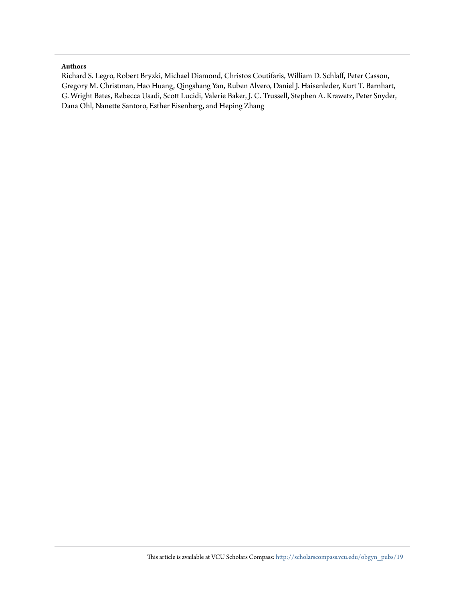# **Authors**

Richard S. Legro, Robert Bryzki, Michael Diamond, Christos Coutifaris, William D. Schlaff, Peter Casson, Gregory M. Christman, Hao Huang, Qingshang Yan, Ruben Alvero, Daniel J. Haisenleder, Kurt T. Barnhart, G. Wright Bates, Rebecca Usadi, Scott Lucidi, Valerie Baker, J. C. Trussell, Stephen A. Krawetz, Peter Snyder, Dana Ohl, Nanette Santoro, Esther Eisenberg, and Heping Zhang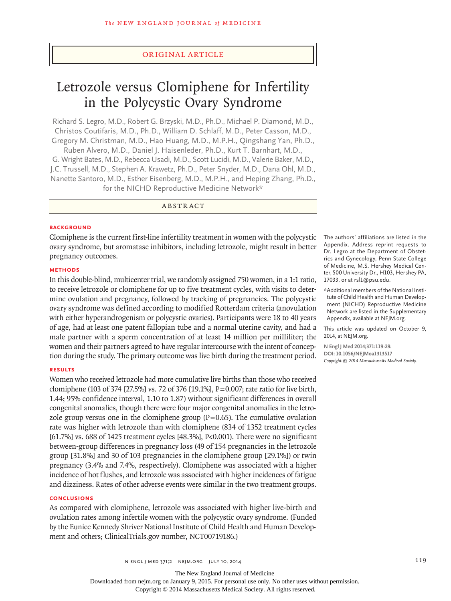# original article

# Letrozole versus Clomiphene for Infertility in the Polycystic Ovary Syndrome

Richard S. Legro, M.D., Robert G. Brzyski, M.D., Ph.D., Michael P. Diamond, M.D., Christos Coutifaris, M.D., Ph.D., William D. Schlaff, M.D., Peter Casson, M.D., Gregory M. Christman, M.D., Hao Huang, M.D., M.P.H., Qingshang Yan, Ph.D., Ruben Alvero, M.D., Daniel J. Haisenleder, Ph.D., Kurt T. Barnhart, M.D., G. Wright Bates, M.D., Rebecca Usadi, M.D., Scott Lucidi, M.D., Valerie Baker, M.D., J.C. Trussell, M.D., Stephen A. Krawetz, Ph.D., Peter Snyder, M.D., Dana Ohl, M.D., Nanette Santoro, M.D., Esther Eisenberg, M.D., M.P.H., and Heping Zhang, Ph.D., for the NICHD Reproductive Medicine Network\*

ABSTRACT

#### **BACKGROUND**

Clomiphene is the current first-line infertility treatment in women with the polycystic ovary syndrome, but aromatase inhibitors, including letrozole, might result in better pregnancy outcomes.

# **Methods**

In this double-blind, multicenter trial, we randomly assigned 750 women, in a 1:1 ratio, to receive letrozole or clomiphene for up to five treatment cycles, with visits to determine ovulation and pregnancy, followed by tracking of pregnancies. The polycystic ovary syndrome was defined according to modified Rotterdam criteria (anovulation with either hyperandrogenism or polycystic ovaries). Participants were 18 to 40 years of age, had at least one patent fallopian tube and a normal uterine cavity, and had a male partner with a sperm concentration of at least 14 million per milliliter; the women and their partners agreed to have regular intercourse with the intent of conception during the study. The primary outcome was live birth during the treatment period.

### **Results**

Women who received letrozole had more cumulative live births than those who received clomiphene (103 of 374 [27.5%] vs. 72 of 376 [19.1%], P=0.007; rate ratio for live birth, 1.44; 95% confidence interval, 1.10 to 1.87) without significant differences in overall congenital anomalies, though there were four major congenital anomalies in the letrozole group versus one in the clomiphene group  $(P=0.65)$ . The cumulative ovulation rate was higher with letrozole than with clomiphene (834 of 1352 treatment cycles [61.7%] vs. 688 of 1425 treatment cycles [48.3%], P<0.001). There were no significant between-group differences in pregnancy loss (49 of 154 pregnancies in the letrozole group [31.8%] and 30 of 103 pregnancies in the clomiphene group [29.1%]) or twin pregnancy (3.4% and 7.4%, respectively). Clomiphene was associated with a higher incidence of hot flushes, and letrozole was associated with higher incidences of fatigue and dizziness. Rates of other adverse events were similar in the two treatment groups.

#### **Conclusions**

As compared with clomiphene, letrozole was associated with higher live-birth and ovulation rates among infertile women with the polycystic ovary syndrome. (Funded by the Eunice Kennedy Shriver National Institute of Child Health and Human Development and others; ClinicalTrials.gov number, NCT00719186.)

The authors' affiliations are listed in the Appendix. Address reprint requests to Dr. Legro at the Department of Obstetrics and Gynecology, Penn State College of Medicine, M.S. Hershey Medical Center, 500 University Dr., H103, Hershey PA, 17033, or at rsl1@psu.edu.

\*Additional members of the National Institute of Child Health and Human Development (NICHD) Reproductive Medicine Network are listed in the Supplementary Appendix, available at NEJM.org.

This article was updated on October 9, 2014, at NEJM.org.

**N Engl J Med 2014;371:119-29. DOI: 10.1056/NEJMoa1313517** *Copyright © 2014 Massachusetts Medical Society.*

The New England Journal of Medicine

Downloaded from nejm.org on January 9, 2015. For personal use only. No other uses without permission.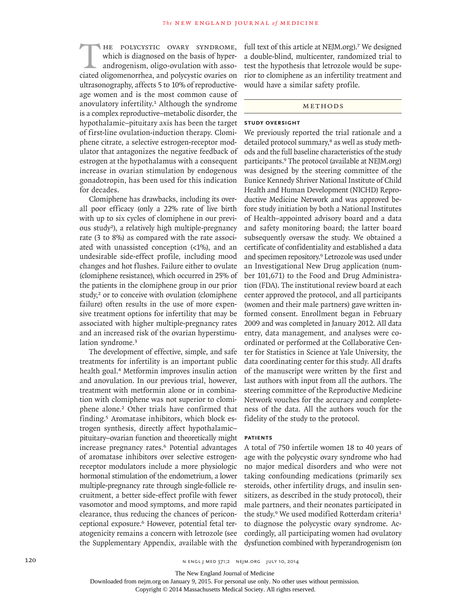HE POLYCYSTIC OVARY SYNDROME,<br>
which is diagnosed on the basis of hyper-<br>
androgenism, oligo-ovulation with asso-<br>
ciated oligomenorrhea, and polycystic ovaries on which is diagnosed on the basis of hyperandrogenism, oligo-ovulation with assoultrasonography, affects 5 to 10% of reproductiveage women and is the most common cause of anovulatory infertility.1 Although the syndrome is a complex reproductive–metabolic disorder, the hypothalamic–pituitary axis has been the target of first-line ovulation-induction therapy. Clomiphene citrate, a selective estrogen-receptor modulator that antagonizes the negative feedback of estrogen at the hypothalamus with a consequent increase in ovarian stimulation by endogenous gonadotropin, has been used for this indication for decades.

Clomiphene has drawbacks, including its overall poor efficacy (only a 22% rate of live birth with up to six cycles of clomiphene in our previous study2), a relatively high multiple-pregnancy rate (3 to 8%) as compared with the rate associated with unassisted conception (<1%), and an undesirable side-effect profile, including mood changes and hot flushes. Failure either to ovulate (clomiphene resistance), which occurred in 25% of the patients in the clomiphene group in our prior study,<sup>2</sup> or to conceive with ovulation (clomiphene failure) often results in the use of more expensive treatment options for infertility that may be associated with higher multiple-pregnancy rates and an increased risk of the ovarian hyperstimulation syndrome.<sup>3</sup>

The development of effective, simple, and safe treatments for infertility is an important public health goal.4 Metformin improves insulin action and anovulation. In our previous trial, however, treatment with metformin alone or in combination with clomiphene was not superior to clomiphene alone.2 Other trials have confirmed that finding.5 Aromatase inhibitors, which block estrogen synthesis, directly affect hypothalamic– pituitary–ovarian function and theoretically might increase pregnancy rates.<sup>6</sup> Potential advantages of aromatase inhibitors over selective estrogenreceptor modulators include a more physiologic hormonal stimulation of the endometrium, a lower multiple-pregnancy rate through single-follicle recruitment, a better side-effect profile with fewer vasomotor and mood symptoms, and more rapid clearance, thus reducing the chances of periconceptional exposure.<sup>6</sup> However, potential fetal teratogenicity remains a concern with letrozole (see the Supplementary Appendix, available with the

full text of this article at NEJM.org).<sup>7</sup> We designed a double-blind, multicenter, randomized trial to test the hypothesis that letrozole would be superior to clomiphene as an infertility treatment and would have a similar safety profile.

# METHODS

# **Study Oversight**

We previously reported the trial rationale and a detailed protocol summary,<sup>8</sup> as well as study methods and the full baseline characteristics of the study participants.9 The protocol (available at NEJM.org) was designed by the steering committee of the Eunice Kennedy Shriver National Institute of Child Health and Human Development (NICHD) Reproductive Medicine Network and was approved before study initiation by both a National Institutes of Health–appointed advisory board and a data and safety monitoring board; the latter board subsequently oversaw the study. We obtained a certificate of confidentiality and established a data and specimen repository.9 Letrozole was used under an Investigational New Drug application (number 101,671) to the Food and Drug Administration (FDA). The institutional review board at each center approved the protocol, and all participants (women and their male partners) gave written informed consent. Enrollment began in February 2009 and was completed in January 2012. All data entry, data management, and analyses were coordinated or performed at the Collaborative Center for Statistics in Science at Yale University, the data coordinating center for this study. All drafts of the manuscript were written by the first and last authors with input from all the authors. The steering committee of the Reproductive Medicine Network vouches for the accuracy and completeness of the data. All the authors vouch for the fidelity of the study to the protocol.

# **Patients**

A total of 750 infertile women 18 to 40 years of age with the polycystic ovary syndrome who had no major medical disorders and who were not taking confounding medications (primarily sex steroids, other infertility drugs, and insulin sensitizers, as described in the study protocol), their male partners, and their neonates participated in the study.<sup>9</sup> We used modified Rotterdam criteria<sup>1</sup> to diagnose the polycystic ovary syndrome. Accordingly, all participating women had ovulatory dysfunction combined with hyperandrogenism (on

The New England Journal of Medicine

Downloaded from nejm.org on January 9, 2015. For personal use only. No other uses without permission.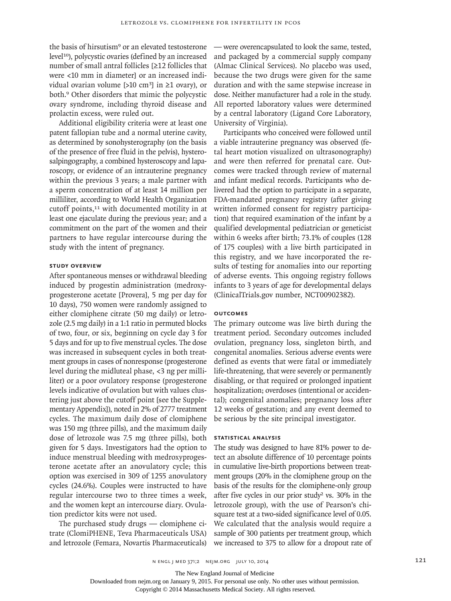the basis of hirsutism<sup>9</sup> or an elevated testosterone level10), polycystic ovaries (defined by an increased number of small antral follicles [≥12 follicles that were <10 mm in diameter] or an increased individual ovarian volume [>10 cm<sup>3</sup>] in  $\geq$ 1 ovary), or both.9 Other disorders that mimic the polycystic ovary syndrome, including thyroid disease and prolactin excess, were ruled out.

Additional eligibility criteria were at least one patent fallopian tube and a normal uterine cavity, as determined by sonohysterography (on the basis of the presence of free fluid in the pelvis), hysterosalpingography, a combined hysteroscopy and laparoscopy, or evidence of an intrauterine pregnancy within the previous 3 years; a male partner with a sperm concentration of at least 14 million per milliliter, according to World Health Organization cutoff points,<sup>11</sup> with documented motility in at least one ejaculate during the previous year; and a commitment on the part of the women and their partners to have regular intercourse during the study with the intent of pregnancy.

# **Study Overview**

After spontaneous menses or withdrawal bleeding induced by progestin administration (medroxyprogesterone acetate [Provera], 5 mg per day for 10 days), 750 women were randomly assigned to either clomiphene citrate (50 mg daily) or letrozole (2.5 mg daily) in a 1:1 ratio in permuted blocks of two, four, or six, beginning on cycle day 3 for 5 days and for up to five menstrual cycles. The dose was increased in subsequent cycles in both treatment groups in cases of nonresponse (progesterone level during the midluteal phase, <3 ng per milliliter) or a poor ovulatory response (progesterone levels indicative of ovulation but with values clustering just above the cutoff point [see the Supplementary Appendix]), noted in 2% of 2777 treatment cycles. The maximum daily dose of clomiphene was 150 mg (three pills), and the maximum daily dose of letrozole was 7.5 mg (three pills), both given for 5 days. Investigators had the option to induce menstrual bleeding with medroxyprogesterone acetate after an anovulatory cycle; this option was exercised in 309 of 1255 anovulatory cycles (24.6%). Couples were instructed to have regular intercourse two to three times a week, and the women kept an intercourse diary. Ovulation predictor kits were not used.

The purchased study drugs — clomiphene citrate (ClomiPHENE, Teva Pharmaceuticals USA) and letrozole (Femara, Novartis Pharmaceuticals)

— were overencapsulated to look the same, tested, and packaged by a commercial supply company (Almac Clinical Services). No placebo was used, because the two drugs were given for the same duration and with the same stepwise increase in dose. Neither manufacturer had a role in the study. All reported laboratory values were determined by a central laboratory (Ligand Core Laboratory, University of Virginia).

Participants who conceived were followed until a viable intrauterine pregnancy was observed (fetal heart motion visualized on ultrasonography) and were then referred for prenatal care. Outcomes were tracked through review of maternal and infant medical records. Participants who delivered had the option to participate in a separate, FDA-mandated pregnancy registry (after giving written informed consent for registry participation) that required examination of the infant by a qualified developmental pediatrician or geneticist within 6 weeks after birth; 73.1% of couples (128 of 175 couples) with a live birth participated in this registry, and we have incorporated the results of testing for anomalies into our reporting of adverse events. This ongoing registry follows infants to 3 years of age for developmental delays (ClinicalTrials.gov number, NCT00902382).

# **Outcomes**

The primary outcome was live birth during the treatment period. Secondary outcomes included ovulation, pregnancy loss, singleton birth, and congenital anomalies. Serious adverse events were defined as events that were fatal or immediately life-threatening, that were severely or permanently disabling, or that required or prolonged inpatient hospitalization; overdoses (intentional or accidental); congenital anomalies; pregnancy loss after 12 weeks of gestation; and any event deemed to be serious by the site principal investigator.

# **Statistical Analysis**

The study was designed to have 81% power to detect an absolute difference of 10 percentage points in cumulative live-birth proportions between treatment groups (20% in the clomiphene group on the basis of the results for the clomiphene-only group after five cycles in our prior study<sup>2</sup> vs. 30% in the letrozole group), with the use of Pearson's chisquare test at a two-sided significance level of 0.05. We calculated that the analysis would require a sample of 300 patients per treatment group, which we increased to 375 to allow for a dropout rate of

The New England Journal of Medicine

Downloaded from nejm.org on January 9, 2015. For personal use only. No other uses without permission.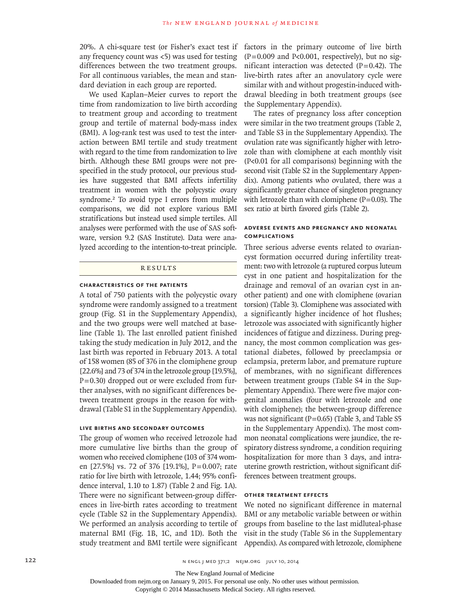20%. A chi-square test (or Fisher's exact test if any frequency count was <5) was used for testing differences between the two treatment groups. For all continuous variables, the mean and standard deviation in each group are reported.

We used Kaplan–Meier curves to report the time from randomization to live birth according to treatment group and according to treatment group and tertile of maternal body-mass index (BMI). A log-rank test was used to test the interaction between BMI tertile and study treatment with regard to the time from randomization to live birth. Although these BMI groups were not prespecified in the study protocol, our previous studies have suggested that BMI affects infertility treatment in women with the polycystic ovary syndrome.2 To avoid type I errors from multiple comparisons, we did not explore various BMI stratifications but instead used simple tertiles. All analyses were performed with the use of SAS software, version 9.2 (SAS Institute). Data were analyzed according to the intention-to-treat principle.

### **RESULTS**

### **Characteristics of the Patients**

A total of 750 patients with the polycystic ovary syndrome were randomly assigned to a treatment group (Fig. S1 in the Supplementary Appendix), and the two groups were well matched at baseline (Table 1). The last enrolled patient finished taking the study medication in July 2012, and the last birth was reported in February 2013. A total of 158 women (85 of 376 in the clomiphene group [22.6%] and 73 of 374 in the letrozole group [19.5%],  $P=0.30$ ) dropped out or were excluded from further analyses, with no significant differences between treatment groups in the reason for withdrawal (Table S1 in the Supplementary Appendix).

# **Live Births and Secondary Outcomes**

The group of women who received letrozole had more cumulative live births than the group of women who received clomiphene (103 of 374 women [27.5%] vs. 72 of 376 [19.1%], P=0.007; rate ratio for live birth with letrozole, 1.44; 95% confidence interval, 1.10 to 1.87) (Table 2 and Fig. 1A). There were no significant between-group differences in live-birth rates according to treatment cycle (Table S2 in the Supplementary Appendix). We performed an analysis according to tertile of maternal BMI (Fig. 1B, 1C, and 1D). Both the study treatment and BMI tertile were significant

factors in the primary outcome of live birth  $(P=0.009$  and P<0.001, respectively), but no significant interaction was detected  $(P=0.42)$ . The live-birth rates after an anovulatory cycle were similar with and without progestin-induced withdrawal bleeding in both treatment groups (see the Supplementary Appendix).

The rates of pregnancy loss after conception were similar in the two treatment groups (Table 2, and Table S3 in the Supplementary Appendix). The ovulation rate was significantly higher with letrozole than with clomiphene at each monthly visit (P<0.01 for all comparisons) beginning with the second visit (Table S2 in the Supplementary Appendix). Among patients who ovulated, there was a significantly greater chance of singleton pregnancy with letrozole than with clomiphene  $(P=0.03)$ . The sex ratio at birth favored girls (Table 2).

# **Adverse Events and Pregnancy and Neonatal Complications**

Three serious adverse events related to ovariancyst formation occurred during infertility treatment: two with letrozole (a ruptured corpus luteum cyst in one patient and hospitalization for the drainage and removal of an ovarian cyst in another patient) and one with clomiphene (ovarian torsion) (Table 3). Clomiphene was associated with a significantly higher incidence of hot flushes; letrozole was associated with significantly higher incidences of fatigue and dizziness. During pregnancy, the most common complication was gestational diabetes, followed by preeclampsia or eclampsia, preterm labor, and premature rupture of membranes, with no significant differences between treatment groups (Table S4 in the Supplementary Appendix). There were five major congenital anomalies (four with letrozole and one with clomiphene); the between-group difference was not significant ( $P=0.65$ ) (Table 3, and Table S5 in the Supplementary Appendix). The most common neonatal complications were jaundice, the respiratory distress syndrome, a condition requiring hospitalization for more than 3 days, and intrauterine growth restriction, without significant differences between treatment groups.

# **Other Treatment Effects**

We noted no significant difference in maternal BMI or any metabolic variable between or within groups from baseline to the last midluteal-phase visit in the study (Table S6 in the Supplementary Appendix). As compared with letrozole, clomiphene

The New England Journal of Medicine

Downloaded from nejm.org on January 9, 2015. For personal use only. No other uses without permission.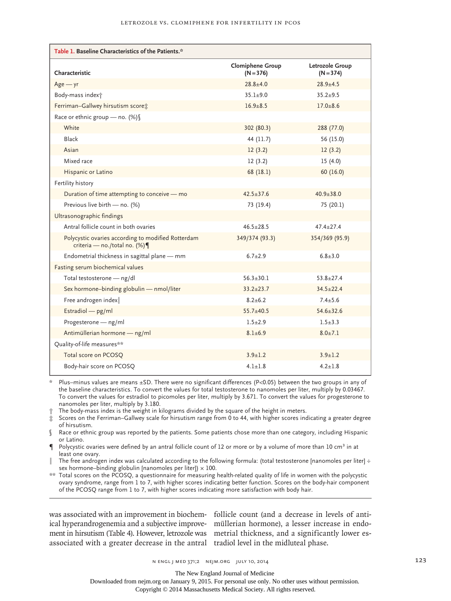| Table 1. Baseline Characteristics of the Patients.*                                |                                        |                                |  |  |
|------------------------------------------------------------------------------------|----------------------------------------|--------------------------------|--|--|
| Characteristic                                                                     | <b>Clomiphene Group</b><br>$(N = 376)$ | Letrozole Group<br>$(N = 374)$ |  |  |
| $Age - yr$                                                                         | $28.8 \pm 4.0$                         | $28.9 + 4.5$                   |  |  |
| Body-mass index <sup>+</sup>                                                       | $35.1 + 9.0$                           | $35.2 + 9.5$                   |  |  |
| Ferriman-Gallwey hirsutism score:                                                  | $16.9 + 8.5$                           | $17.0 + 8.6$                   |  |  |
| Race or ethnic group - no. (%)                                                     |                                        |                                |  |  |
| White                                                                              | 302 (80.3)                             | 288 (77.0)                     |  |  |
| Black                                                                              | 44 (11.7)                              | 56 (15.0)                      |  |  |
| Asian                                                                              | 12(3.2)                                | 12(3.2)                        |  |  |
| Mixed race                                                                         | 12(3.2)                                | 15(4.0)                        |  |  |
| Hispanic or Latino                                                                 | 68 (18.1)                              | 60(16.0)                       |  |  |
| Fertility history                                                                  |                                        |                                |  |  |
| Duration of time attempting to conceive - mo                                       | $42.5 + 37.6$                          | $40.9 + 38.0$                  |  |  |
| Previous live birth - no. (%)                                                      | 73 (19.4)                              | 75 (20.1)                      |  |  |
| Ultrasonographic findings                                                          |                                        |                                |  |  |
| Antral follicle count in both ovaries                                              | $46.5 + 28.5$                          | $47.4 + 27.4$                  |  |  |
| Polycystic ovaries according to modified Rotterdam<br>criteria - no./total no. (%) | 349/374 (93.3)                         | 354/369 (95.9)                 |  |  |
| Endometrial thickness in sagittal plane - mm                                       | $6.7 + 2.9$                            | $6.8 + 3.0$                    |  |  |
| Fasting serum biochemical values                                                   |                                        |                                |  |  |
| Total testosterone - ng/dl                                                         | $56.3 + 30.1$                          | $53.8 + 27.4$                  |  |  |
| Sex hormone-binding globulin - nmol/liter                                          | $33.2 + 23.7$                          | $34.5 + 22.4$                  |  |  |
| Free androgen index                                                                | $8.2 + 6.2$                            | $7.4 + 5.6$                    |  |  |
| Estradiol - pg/ml                                                                  | $55.7 + 40.5$                          | $54.6 + 32.6$                  |  |  |
| Progesterone - ng/ml                                                               | $1.5 + 2.9$                            | $1.5 + 3.3$                    |  |  |
| Antimüllerian hormone - ng/ml                                                      | $8.1 \pm 6.9$                          | $8.0 + 7.1$                    |  |  |
| Quality-of-life measures**                                                         |                                        |                                |  |  |
| Total score on PCOSQ                                                               | $3.9 + 1.2$                            | $3.9 \pm 1.2$                  |  |  |
| Body-hair score on PCOSQ                                                           | $4.1 + 1.8$                            | $4.2 + 1.8$                    |  |  |

 $*$  Plus–minus values are means ±SD. There were no significant differences (P<0.05) between the two groups in any of the baseline characteristics. To convert the values for total testosterone to nanomoles per liter, multiply by 0.03467. To convert the values for estradiol to picomoles per liter, multiply by 3.671. To convert the values for progesterone to nanomoles per liter, multiply by 3.180.

† The body-mass index is the weight in kilograms divided by the square of the height in meters.

- ‡ Scores on the Ferriman–Gallwey scale for hirsutism range from 0 to 44, with higher scores indicating a greater degree of hirsutism.
- § Race or ethnic group was reported by the patients. Some patients chose more than one category, including Hispanic or Latino.
- $\P$  Polycystic ovaries were defined by an antral follicle count of 12 or more or by a volume of more than 10 cm<sup>3</sup> in at least one ovary.
- The free androgen index was calculated according to the following formula: (total testosterone [nanomoles per liter]  $\div$ sex hormone–binding globulin [nanomoles per liter])  $\times$  100.
- \*\* Total scores on the PCOSQ, a questionnaire for measuring health-related quality of life in women with the polycystic ovary syndrome, range from 1 to 7, with higher scores indicating better function. Scores on the body-hair component of the PCOSQ range from 1 to 7, with higher scores indicating more satisfaction with body hair.

ical hyperandrogenemia and a subjective improve-müllerian hormone), a lesser increase in endoment in hirsutism (Table 4). However, letrozole was metrial thickness, and a significantly lower esassociated with a greater decrease in the antral tradiol level in the midluteal phase.

was associated with an improvement in biochem-follicle count (and a decrease in levels of anti-

The New England Journal of Medicine

Downloaded from nejm.org on January 9, 2015. For personal use only. No other uses without permission.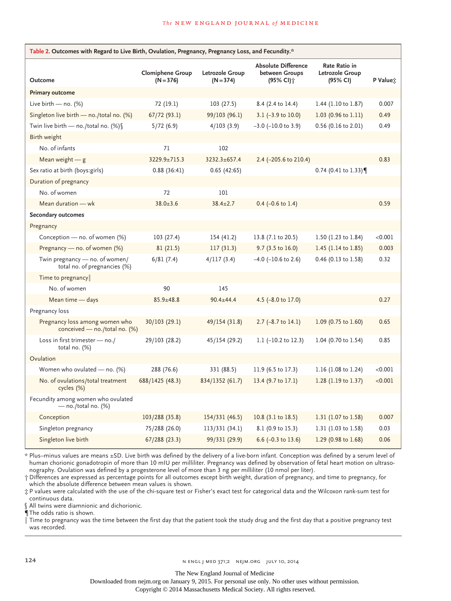| Table 2. Outcomes with Regard to Live Birth, Ovulation, Pregnancy, Pregnancy Loss, and Fecundity.* |                                        |                                |                                                            |                                              |                  |  |  |
|----------------------------------------------------------------------------------------------------|----------------------------------------|--------------------------------|------------------------------------------------------------|----------------------------------------------|------------------|--|--|
| Outcome                                                                                            | <b>Clomiphene Group</b><br>$(N = 376)$ | Letrozole Group<br>$(N = 374)$ | <b>Absolute Difference</b><br>between Groups<br>(95% CI) † | Rate Ratio in<br>Letrozole Group<br>(95% CI) | P Value <u>∵</u> |  |  |
| <b>Primary outcome</b>                                                                             |                                        |                                |                                                            |                                              |                  |  |  |
| Live birth $-$ no. (%)                                                                             | 72 (19.1)                              | 103 (27.5)                     | 8.4 (2.4 to 14.4)                                          | 1.44 (1.10 to 1.87)                          | 0.007            |  |  |
| Singleton live birth $-$ no./total no. (%)                                                         | 67/72(93.1)                            | 99/103 (96.1)                  | 3.1 $(-3.9 \text{ to } 10.0)$                              | $1.03$ (0.96 to 1.11)                        | 0.49             |  |  |
| Twin live birth - no./total no. $(\%)$                                                             | 5/72(6.9)                              | 4/103(3.9)                     | $-3.0$ ( $-10.0$ to 3.9)                                   | 0.56 (0.16 to 2.01)                          | 0.49             |  |  |
| Birth weight                                                                                       |                                        |                                |                                                            |                                              |                  |  |  |
| No. of infants                                                                                     | 71                                     | 102                            |                                                            |                                              |                  |  |  |
| Mean weight $-$ g                                                                                  | 3229.9±715.3                           | 3232.3±657.4                   | 2.4 (-205.6 to 210.4)                                      |                                              | 0.83             |  |  |
| Sex ratio at birth (boys: girls)                                                                   | 0.88(36:41)                            | 0.65(42:65)                    |                                                            | $0.74$ (0.41 to 1.33)                        |                  |  |  |
| Duration of pregnancy                                                                              |                                        |                                |                                                            |                                              |                  |  |  |
| No. of women                                                                                       | 72                                     | 101                            |                                                            |                                              |                  |  |  |
| Mean duration - wk                                                                                 | $38.0 \pm 3.6$                         | $38.4 \pm 2.7$                 | $0.4$ (-0.6 to 1.4)                                        |                                              | 0.59             |  |  |
| <b>Secondary outcomes</b>                                                                          |                                        |                                |                                                            |                                              |                  |  |  |
| Pregnancy                                                                                          |                                        |                                |                                                            |                                              |                  |  |  |
| Conception - no. of women (%)                                                                      | 103 (27.4)                             | 154 (41.2)                     | 13.8 (7.1 to 20.5)                                         | 1.50 (1.23 to 1.84)                          | < 0.001          |  |  |
| Pregnancy - no. of women (%)                                                                       | 81(21.5)                               | 117(31.3)                      | $9.7$ (3.5 to 16.0)                                        | 1.45 (1.14 to 1.85)                          | 0.003            |  |  |
| Twin pregnancy - no. of women/<br>total no. of pregnancies (%)                                     | 6/81(7.4)                              | 4/117(3.4)                     | $-4.0$ ( $-10.6$ to 2.6)                                   | 0.46 (0.13 to 1.58)                          | 0.32             |  |  |
| Time to pregnancy                                                                                  |                                        |                                |                                                            |                                              |                  |  |  |
| No. of women                                                                                       | 90                                     | 145                            |                                                            |                                              |                  |  |  |
| Mean time - days                                                                                   | $85.9 \pm 48.8$                        | $90.4 \pm 44.4$                | 4.5 (-8.0 to 17.0)                                         |                                              | 0.27             |  |  |
| Pregnancy loss                                                                                     |                                        |                                |                                                            |                                              |                  |  |  |
| Pregnancy loss among women who<br>conceived — no./total no. $(\%)$                                 | 30/103 (29.1)                          | 49/154 (31.8)                  | $2.7$ (-8.7 to 14.1)                                       | 1.09 (0.75 to 1.60)                          | 0.65             |  |  |
| Loss in first trimester - no./<br>total no. $(\%)$                                                 | 29/103 (28.2)                          | 45/154 (29.2)                  | 1.1 $(-10.2 \text{ to } 12.3)$                             | 1.04 (0.70 to 1.54)                          | 0.85             |  |  |
| Ovulation                                                                                          |                                        |                                |                                                            |                                              |                  |  |  |
| Women who ovulated - no. (%)                                                                       | 288 (76.6)                             | 331 (88.5)                     | 11.9 (6.5 to 17.3)                                         | 1.16 (1.08 to 1.24)                          | < 0.001          |  |  |
| No. of ovulations/total treatment<br>cycles (%)                                                    | 688/1425 (48.3)                        | 834/1352 (61.7)                | 13.4 (9.7 to 17.1)                                         | 1.28 (1.19 to 1.37)                          | < 0.001          |  |  |
| Fecundity among women who ovulated<br>— no./total no. (%)                                          |                                        |                                |                                                            |                                              |                  |  |  |
| Conception                                                                                         | 103/288 (35.8)                         | 154/331 (46.5)                 | 10.8 (3.1 to 18.5)                                         | 1.31 (1.07 to 1.58)                          | 0.007            |  |  |
| Singleton pregnancy                                                                                | 75/288 (26.0)                          | 113/331 (34.1)                 | 8.1 (0.9 to 15.3)                                          | 1.31 (1.03 to 1.58)                          | 0.03             |  |  |
| Singleton live birth                                                                               | 67/288 (23.3)                          | 99/331 (29.9)                  | 6.6 $(-0.3 \text{ to } 13.6)$                              | 1.29 (0.98 to 1.68)                          | 0.06             |  |  |

\* Plus–minus values are means ±SD. Live birth was defined by the delivery of a live-born infant. Conception was defined by a serum level of human chorionic gonadotropin of more than 10 mIU per milliliter. Pregnancy was defined by observation of fetal heart motion on ultrasonography. Ovulation was defined by a progesterone level of more than 3 ng per milliliter (10 nmol per liter).

† Differences are expressed as percentage points for all outcomes except birth weight, duration of pregnancy, and time to pregnancy, for which the absolute difference between mean values is shown.

‡ P values were calculated with the use of the chi-square test or Fisher's exact test for categorical data and the Wilcoxon rank-sum test for continuous data.

§ All twins were diamnionic and dichorionic.

¶The odds ratio is shown.

.<br>" Time to pregnancy was the time between the first day that the patient took the study drug and the first day that a positive pregnancy test was recorded.

The New England Journal of Medicine

Downloaded from nejm.org on January 9, 2015. For personal use only. No other uses without permission.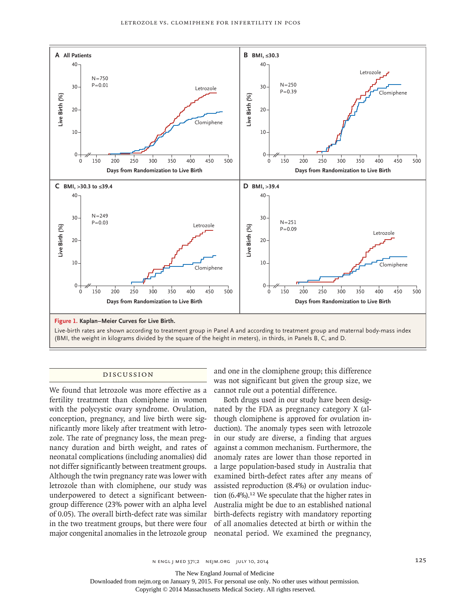

(BMI, the weight in kilograms divided by the square of the height in meters), in thirds, in Panels B, C, and D.

#### Discussion

We found that letrozole was more effective as a fertility treatment than clomiphene in women with the polycystic ovary syndrome. Ovulation, conception, pregnancy, and live birth were significantly more likely after treatment with letrozole. The rate of pregnancy loss, the mean pregnancy duration and birth weight, and rates of neonatal complications (including anomalies) did not differ significantly between treatment groups. Although the twin pregnancy rate was lower with letrozole than with clomiphene, our study was underpowered to detect a significant betweengroup difference (23% power with an alpha level of 0.05). The overall birth-defect rate was similar in the two treatment groups, but there were four major congenital anomalies in the letrozole group neonatal period. We examined the pregnancy,

and one in the clomiphene group; this difference was not significant but given the group size, we cannot rule out a potential difference.

Both drugs used in our study have been designated by the FDA as pregnancy category X (although clomiphene is approved for ovulation induction). The anomaly types seen with letrozole in our study are diverse, a finding that argues against a common mechanism. Furthermore, the anomaly rates are lower than those reported in a large population-based study in Australia that examined birth-defect rates after any means of assisted reproduction (8.4%) or ovulation induction (6.4%).<sup>12</sup> We speculate that the higher rates in Australia might be due to an established national birth-defects registry with mandatory reporting of all anomalies detected at birth or within the

The New England Journal of Medicine

Downloaded from nejm.org on January 9, 2015. For personal use only. No other uses without permission.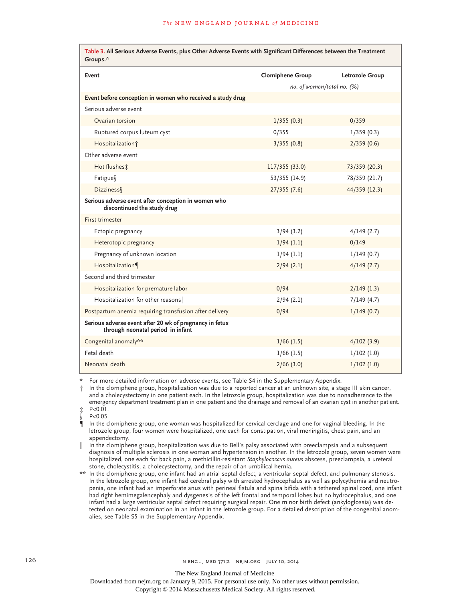| Table 3. All Serious Adverse Events, plus Other Adverse Events with Significant Differences between the Treatment<br>Groups.* |                            |                 |  |  |
|-------------------------------------------------------------------------------------------------------------------------------|----------------------------|-----------------|--|--|
| Event                                                                                                                         | <b>Clomiphene Group</b>    | Letrozole Group |  |  |
|                                                                                                                               | no. of women/total no. (%) |                 |  |  |
| Event before conception in women who received a study drug                                                                    |                            |                 |  |  |
| Serious adverse event                                                                                                         |                            |                 |  |  |
| Ovarian torsion                                                                                                               | 1/355(0.3)                 | 0/359           |  |  |
| Ruptured corpus luteum cyst                                                                                                   | 0/355                      | 1/359(0.3)      |  |  |
| Hospitalization <sup>+</sup>                                                                                                  | 3/355(0.8)                 | 2/359(0.6)      |  |  |
| Other adverse event                                                                                                           |                            |                 |  |  |
| Hot flushes :                                                                                                                 | 117/355 (33.0)             | 73/359 (20.3)   |  |  |
| Fatigues                                                                                                                      | 53/355 (14.9)              | 78/359 (21.7)   |  |  |
| <b>Dizziness</b>                                                                                                              | 27/355(7.6)                | 44/359 (12.3)   |  |  |
| Serious adverse event after conception in women who<br>discontinued the study drug                                            |                            |                 |  |  |
| First trimester                                                                                                               |                            |                 |  |  |
| Ectopic pregnancy                                                                                                             | 3/94(3.2)                  | 4/149(2.7)      |  |  |
| Heterotopic pregnancy                                                                                                         | 1/94(1.1)                  | 0/149           |  |  |
| Pregnancy of unknown location                                                                                                 | 1/94(1.1)                  | 1/149(0.7)      |  |  |
| Hospitalization                                                                                                               | 2/94(2.1)                  | 4/149(2.7)      |  |  |
| Second and third trimester                                                                                                    |                            |                 |  |  |
| Hospitalization for premature labor                                                                                           | 0/94                       | $2/149$ (1.3)   |  |  |
| Hospitalization for other reasons                                                                                             | 2/94(2.1)                  | 7/149(4.7)      |  |  |
| Postpartum anemia requiring transfusion after delivery                                                                        | 0/94                       | 1/149(0.7)      |  |  |
| Serious adverse event after 20 wk of pregnancy in fetus<br>through neonatal period in infant                                  |                            |                 |  |  |
| Congenital anomaly**                                                                                                          | $1/66$ (1.5)               | 4/102(3.9)      |  |  |
| Fetal death                                                                                                                   | $1/66$ (1.5)               | $1/102$ (1.0)   |  |  |
| Neonatal death                                                                                                                | 2/66(3.0)                  | $1/102$ (1.0)   |  |  |

For more detailed information on adverse events, see Table S4 in the Supplementary Appendix.

In the clomiphene group, hospitalization was due to a reported cancer at an unknown site, a stage III skin cancer, and a cholecystectomy in one patient each. In the letrozole group, hospitalization was due to nonadherence to the emergency department treatment plan in one patient and the drainage and removal of an ovarian cyst in another patient. ‡ P<0.01.

P<0.05.

¶ In the clomiphene group, one woman was hospitalized for cervical cerclage and one for vaginal bleeding. In the letrozole group, four women were hospitalized, one each for constipation, viral meningitis, chest pain, and an appendectomy.

In the clomiphene group, hospitalization was due to Bell's palsy associated with preeclampsia and a subsequent diagnosis of multiple sclerosis in one woman and hypertension in another. In the letrozole group, seven women were hospitalized, one each for back pain, a methicillin-resistant *Staphylococcus aureus* abscess, preeclampsia, a ureteral stone, cholecystitis, a cholecystectomy, and the repair of an umbilical hernia.

\*\* In the clomiphene group, one infant had an atrial septal defect, a ventricular septal defect, and pulmonary stenosis. In the letrozole group, one infant had cerebral palsy with arrested hydrocephalus as well as polycythemia and neutropenia, one infant had an imperforate anus with perineal fistula and spina bifida with a tethered spinal cord, one infant had right hemimegalencephaly and dysgenesis of the left frontal and temporal lobes but no hydrocephalus, and one infant had a large ventricular septal defect requiring surgical repair. One minor birth defect (ankyloglossia) was detected on neonatal examination in an infant in the letrozole group. For a detailed description of the congenital anomalies, see Table S5 in the Supplementary Appendix.

The New England Journal of Medicine

Downloaded from nejm.org on January 9, 2015. For personal use only. No other uses without permission.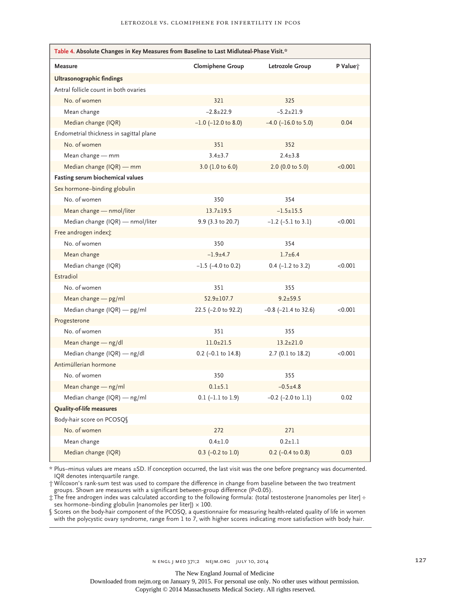| Table 4. Absolute Changes in Key Measures from Baseline to Last Midluteal-Phase Visit.* |                          |                           |          |  |  |
|-----------------------------------------------------------------------------------------|--------------------------|---------------------------|----------|--|--|
| Measure                                                                                 | <b>Clomiphene Group</b>  | Letrozole Group           | P Value; |  |  |
| Ultrasonographic findings                                                               |                          |                           |          |  |  |
| Antral follicle count in both ovaries                                                   |                          |                           |          |  |  |
| No. of women                                                                            | 321                      | 325                       |          |  |  |
| Mean change                                                                             | $-2.8+22.9$              | $-5.2 \pm 21.9$           |          |  |  |
| Median change (IQR)                                                                     | $-1.0$ ( $-12.0$ to 8.0) | $-4.0$ ( $-16.0$ to 5.0)  | 0.04     |  |  |
| Endometrial thickness in sagittal plane                                                 |                          |                           |          |  |  |
| No. of women                                                                            | 351                      | 352                       |          |  |  |
| Mean change — mm                                                                        | $3.4 \pm 3.7$            | $2.4 \pm 3.8$             |          |  |  |
| Median change (IQR) — mm                                                                | 3.0 (1.0 to 6.0)         | 2.0 (0.0 to 5.0)          | < 0.001  |  |  |
| Fasting serum biochemical values                                                        |                          |                           |          |  |  |
| Sex hormone-binding globulin                                                            |                          |                           |          |  |  |
| No. of women                                                                            | 350                      | 354                       |          |  |  |
| Mean change - nmol/liter                                                                | $13.7 \pm 19.5$          | $-1.5 + 15.5$             |          |  |  |
| Median change (IQR) — nmol/liter                                                        | 9.9 (3.3 to 20.7)        | $-1.2$ ( $-5.1$ to 3.1)   | < 0.001  |  |  |
| Free androgen indext:                                                                   |                          |                           |          |  |  |
| No. of women                                                                            | 350                      | 354                       |          |  |  |
| Mean change                                                                             | $-1.9+4.7$               | $1.7 + 6.4$               |          |  |  |
| Median change (IQR)                                                                     | $-1.5$ ( $-4.0$ to 0.2)  | $0.4$ (-1.2 to 3.2)       | < 0.001  |  |  |
| Estradiol                                                                               |                          |                           |          |  |  |
| No. of women                                                                            | 351                      | 355                       |          |  |  |
| Mean change $-$ pg/ml                                                                   | $52.9 \pm 107.7$         | $9.2 \pm 59.5$            |          |  |  |
| Median change (IQR) — pg/ml                                                             | 22.5 (-2.0 to 92.2)      | $-0.8$ ( $-21.4$ to 32.6) | < 0.001  |  |  |
| Progesterone                                                                            |                          |                           |          |  |  |
| No. of women                                                                            | 351                      | 355                       |          |  |  |
| Mean change — ng/dl                                                                     | $11.0 \pm 21.5$          | $13.2 \pm 21.0$           |          |  |  |
| Median change (IQR) — ng/dl                                                             | $0.2$ (-0.1 to 14.8)     | 2.7 (0.1 to 18.2)         | < 0.001  |  |  |
| Antimüllerian hormone                                                                   |                          |                           |          |  |  |
| No. of women                                                                            | 350                      | 355                       |          |  |  |
| Mean change - ng/ml                                                                     | $0.1 + 5.1$              | $-0.5+4.8$                |          |  |  |
| Median change (IQR) — ng/ml                                                             | $0.1$ (-1.1 to 1.9)      | $-0.2$ ( $-2.0$ to 1.1)   | 0.02     |  |  |
| Quality-of-life measures                                                                |                          |                           |          |  |  |
| Body-hair score on PCOSQ                                                                |                          |                           |          |  |  |
| No. of women                                                                            | 272                      | 271                       |          |  |  |
| Mean change                                                                             | $0.4 + 1.0$              | $0.2 + 1.1$               |          |  |  |
| Median change (IQR)                                                                     | $0.3$ (-0.2 to 1.0)      | $0.2$ (-0.4 to 0.8)       | 0.03     |  |  |

\* Plus–minus values are means ±SD. If conception occurred, the last visit was the one before pregnancy was documented. IQR denotes interquartile range.

† Wilcoxon's rank-sum test was used to compare the difference in change from baseline between the two treatment groups. Shown are measures with a significant between-group difference (P<0.05).

‡ The free androgen index was calculated according to the following formula: (total testosterone [nanomoles per liter] ÷ sex hormone–binding globulin [nanomoles per liter])  $\times$  100.

§ Scores on the body-hair component of the PCOSQ, a questionnaire for measuring health-related quality of life in women with the polycystic ovary syndrome, range from 1 to 7, with higher scores indicating more satisfaction with body hair.

The New England Journal of Medicine

Downloaded from nejm.org on January 9, 2015. For personal use only. No other uses without permission.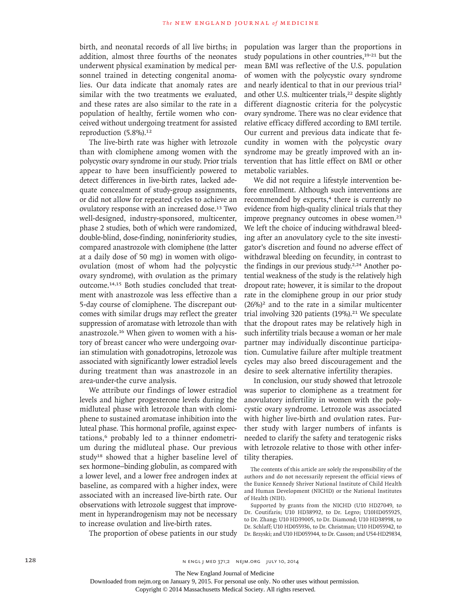birth, and neonatal records of all live births; in addition, almost three fourths of the neonates underwent physical examination by medical personnel trained in detecting congenital anomalies. Our data indicate that anomaly rates are similar with the two treatments we evaluated, and these rates are also similar to the rate in a population of healthy, fertile women who conceived without undergoing treatment for assisted reproduction (5.8%).<sup>12</sup>

The live-birth rate was higher with letrozole than with clomiphene among women with the polycystic ovary syndrome in our study. Prior trials appear to have been insufficiently powered to detect differences in live-birth rates, lacked adequate concealment of study-group assignments, or did not allow for repeated cycles to achieve an ovulatory response with an increased dose.13 Two well-designed, industry-sponsored, multicenter, phase 2 studies, both of which were randomized, double-blind, dose-finding, noninferiority studies, compared anastrozole with clomiphene (the latter at a daily dose of 50 mg) in women with oligoovulation (most of whom had the polycystic ovary syndrome), with ovulation as the primary outcome.14,15 Both studies concluded that treatment with anastrozole was less effective than a 5-day course of clomiphene. The discrepant outcomes with similar drugs may reflect the greater suppression of aromatase with letrozole than with anastrozole.16 When given to women with a history of breast cancer who were undergoing ovarian stimulation with gonadotropins, letrozole was associated with significantly lower estradiol levels during treatment than was anastrozole in an area-under-the curve analysis.

We attribute our findings of lower estradiol levels and higher progesterone levels during the midluteal phase with letrozole than with clomiphene to sustained aromatase inhibition into the luteal phase. This hormonal profile, against expectations,<sup>6</sup> probably led to a thinner endometrium during the midluteal phase. Our previous study<sup>18</sup> showed that a higher baseline level of sex hormone–binding globulin, as compared with a lower level, and a lower free androgen index at baseline, as compared with a higher index, were associated with an increased live-birth rate. Our observations with letrozole suggest that improvement in hyperandrogenism may not be necessary to increase ovulation and live-birth rates.

The proportion of obese patients in our study

population was larger than the proportions in study populations in other countries,<sup>19-21</sup> but the mean BMI was reflective of the U.S. population of women with the polycystic ovary syndrome and nearly identical to that in our previous trial<sup>2</sup> and other U.S. multicenter trials,<sup>22</sup> despite slightly different diagnostic criteria for the polycystic ovary syndrome. There was no clear evidence that relative efficacy differed according to BMI tertile. Our current and previous data indicate that fecundity in women with the polycystic ovary syndrome may be greatly improved with an intervention that has little effect on BMI or other metabolic variables.

We did not require a lifestyle intervention before enrollment. Although such interventions are recommended by experts,<sup>4</sup> there is currently no evidence from high-quality clinical trials that they improve pregnancy outcomes in obese women.<sup>23</sup> We left the choice of inducing withdrawal bleeding after an anovulatory cycle to the site investigator's discretion and found no adverse effect of withdrawal bleeding on fecundity, in contrast to the findings in our previous study.<sup>2,24</sup> Another potential weakness of the study is the relatively high dropout rate; however, it is similar to the dropout rate in the clomiphene group in our prior study  $(26\%)^2$  and to the rate in a similar multicenter trial involving 320 patients  $(19\%)$ .<sup>21</sup> We speculate that the dropout rates may be relatively high in such infertility trials because a woman or her male partner may individually discontinue participation. Cumulative failure after multiple treatment cycles may also breed discouragement and the desire to seek alternative infertility therapies.

In conclusion, our study showed that letrozole was superior to clomiphene as a treatment for anovulatory infertility in women with the polycystic ovary syndrome. Letrozole was associated with higher live-birth and ovulation rates. Further study with larger numbers of infants is needed to clarify the safety and teratogenic risks with letrozole relative to those with other infertility therapies.

The contents of this article are solely the responsibility of the authors and do not necessarily represent the official views of the Eunice Kennedy Shriver National Institute of Child Health and Human Development (NICHD) or the National Institutes of Health (NIH).

Supported by grants from the NICHD (U10 HD27049, to Dr. Coutifaris; U10 HD38992, to Dr. Legro; U10HD055925, to Dr. Zhang; U10 HD39005, to Dr. Diamond; U10 HD38998, to Dr. Schlaff; U10 HD055936, to Dr. Christman; U10 HD055942, to Dr. Brzyski; and U10 HD055944, to Dr. Casson; and U54-HD29834,

Downloaded from nejm.org on January 9, 2015. For personal use only. No other uses without permission.